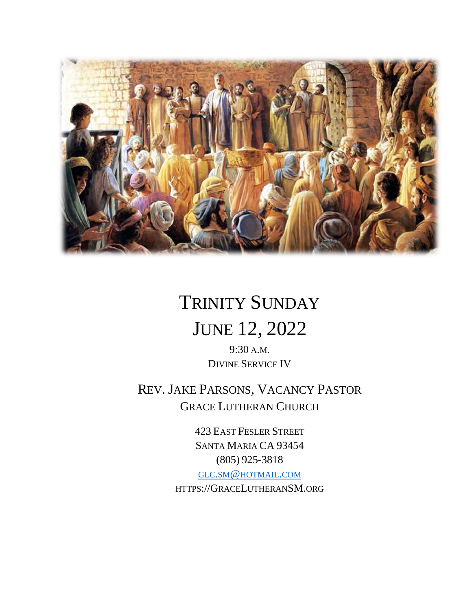

# TRINITY SUNDAY

## JUNE 12, 2022

9:30 A.M. DIVINE SERVICE IV

REV. JAKE PARSONS, VACANCY PASTOR GRACE LUTHERAN CHURCH

> 423 EAST FESLER STREET SANTA MARIA CA 93454 (805) 925-3818 GLC.SM@[HOTMAIL](mailto:glc.sm@hotmail.com).COM

HTTPS://GRACELUTHERANSM.ORG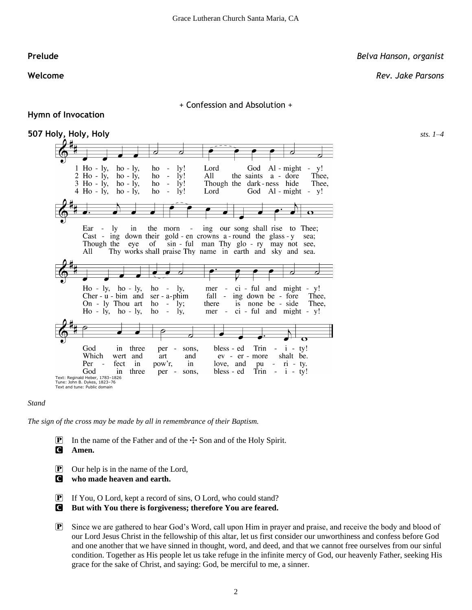#### **Prelude** *Belva Hanson, organist*

**Welcome** *Rev. Jake Parsons*

#### + Confession and Absolution +

### **Hymn of Invocation**



#### *Stand*

*The sign of the cross may be made by all in remembrance of their Baptism.*

**P** In the name of the Father and of the  $\pm$  Son and of the Holy Spirit.

C **Amen.**

- P Our help is in the name of the Lord,
- C **who made heaven and earth.**
- P If You, O Lord, kept a record of sins, O Lord, who could stand?
- C **But with You there is forgiveness; therefore You are feared.**
- P Since we are gathered to hear God's Word, call upon Him in prayer and praise, and receive the body and blood of our Lord Jesus Christ in the fellowship of this altar, let us first consider our unworthiness and confess before God and one another that we have sinned in thought, word, and deed, and that we cannot free ourselves from our sinful condition. Together as His people let us take refuge in the infinite mercy of God, our heavenly Father, seeking His grace for the sake of Christ, and saying: God, be merciful to me, a sinner.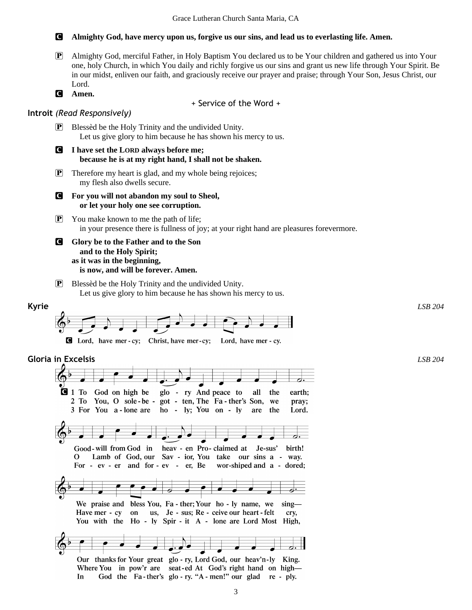P Almighty God, merciful Father, in Holy Baptism You declared us to be Your children and gathered us into Your one, holy Church, in which You daily and richly forgive us our sins and grant us new life through Your Spirit. Be

C **Almighty God, have mercy upon us, forgive us our sins, and lead us to everlasting life. Amen.**

- in our midst, enliven our faith, and graciously receive our prayer and praise; through Your Son, Jesus Christ, our Lord. C **Amen.** + Service of the Word + **Introit** *(Read Responsively)* **P** Blessed be the Holy Trinity and the undivided Unity. Let us give glory to him because he has shown his mercy to us. C **I have set the LORD always before me; because he is at my right hand, I shall not be shaken.** P Therefore my heart is glad, and my whole being rejoices; my flesh also dwells secure. C **For you will not abandon my soul to Sheol, or let your holy one see corruption.**  $\mathbf{P}$  You make known to me the path of life; in your presence there is fullness of joy; at your right hand are pleasures forevermore. C **Glory be to the Father and to the Son and to the Holy Spirit; as it was in the beginning, is now, and will be forever. Amen.** P Blessèd be the Holy Trinity and the undivided Unity. Let us give glory to him because he has shown his mercy to us. **Kyrie** *LSB 204* **C** Lord, have mer-cy; Christ, have mer-cy; Lord, have mer-cy. **Gloria in Excelsis** *LSB 204* $q_1$  To God on high be glo - ry And peace to all the earth; 2 To You, O sole-be - got - ten, The Fa-ther's Son, we pray; 3 For You a-lone are ho - ly; You on - ly are the Lord. Good-will from God in heav - en Pro-claimed at Je-sus' birth! Lamb of God, our Sav - ior, You take our sins a - way. 0 For - ev - er and for - ev - er, Be wor-shiped and a - dored;
	- We praise and bless You, Fa ther; Your ho ly name, we sing-Have mer - cy on us, Je - sus; Re - ceive our heart - felt cry, You with the Ho - ly Spir - it A - lone are Lord Most High,

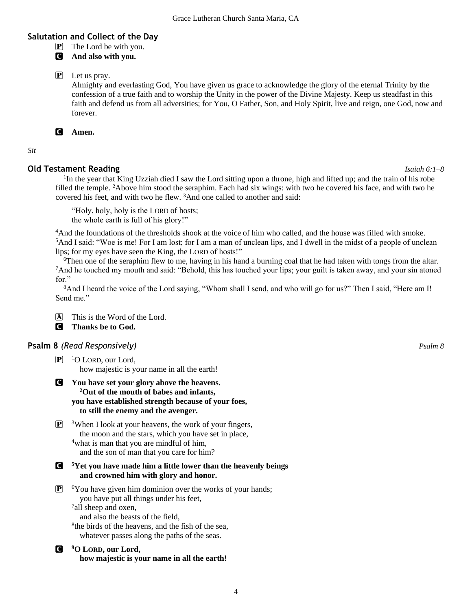#### **Salutation and Collect of the Day**

- $\mathbf{P}$  The Lord be with you.
- C **And also with you.**

P Let us pray.

Almighty and everlasting God, You have given us grace to acknowledge the glory of the eternal Trinity by the confession of a true faith and to worship the Unity in the power of the Divine Majesty. Keep us steadfast in this faith and defend us from all adversities; for You, O Father, Son, and Holy Spirit, live and reign, one God, now and forever.

#### C **Amen.**

*Sit*

#### **Old Testament Reading** *Isaiah 6:1–8*

<sup>1</sup>In the year that King Uzziah died I saw the Lord sitting upon a throne, high and lifted up; and the train of his robe filled the temple. <sup>2</sup>Above him stood the seraphim. Each had six wings: with two he covered his face, and with two he covered his feet, and with two he flew. <sup>3</sup>And one called to another and said:

"Holy, holy, holy is the LORD of hosts; the whole earth is full of his glory!"

<sup>4</sup>And the foundations of the thresholds shook at the voice of him who called, and the house was filled with smoke. <sup>5</sup>And I said: "Woe is me! For I am lost; for I am a man of unclean lips, and I dwell in the midst of a people of unclean lips; for my eyes have seen the King, the LORD of hosts!"

<sup>6</sup>Then one of the seraphim flew to me, having in his hand a burning coal that he had taken with tongs from the altar. <sup>7</sup>And he touched my mouth and said: "Behold, this has touched your lips; your guilt is taken away, and your sin atoned for"

<sup>8</sup>And I heard the voice of the Lord saying, "Whom shall I send, and who will go for us?" Then I said, "Here am I! Send me."

A This is the Word of the Lord.

C **Thanks be to God.**

#### **Psalm 8** *(Read Responsively) Psalm 8*

 $\mathbf{P}$  <sup>1</sup>O LORD, our Lord, how majestic is your name in all the earth!

- C **You have set your glory above the heavens. <sup>2</sup>Out of the mouth of babes and infants, you have established strength because of your foes, to still the enemy and the avenger.**
- $\boxed{\mathbf{P}}$  <sup>3</sup>When I look at your heavens, the work of your fingers, the moon and the stars, which you have set in place, <sup>4</sup>what is man that you are mindful of him, and the son of man that you care for him?
- C **<sup>5</sup>Yet you have made him a little lower than the heavenly beings and crowned him with glory and honor.**
- $\mathbf{P}$  6You have given him dominion over the works of your hands; you have put all things under his feet, <sup>7</sup>all sheep and oxen, and also the beasts of the field,

8 the birds of the heavens, and the fish of the sea, whatever passes along the paths of the seas.

C **<sup>9</sup>O LORD, our Lord, how majestic is your name in all the earth!**

4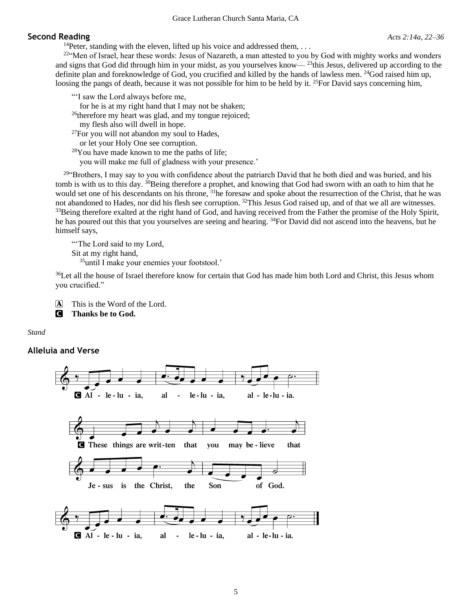#### Grace Lutheran Church Santa Maria, CA

#### **Second Reading** *Acts 2:14a, 22–36*

 $22$ "Men of Israel, hear these words: Jesus of Nazareth, a man attested to you by God with mighty works and wonders and signs that God did through him in your midst, as you yourselves know— <sup>23</sup>this Jesus, delivered up according to the definite plan and foreknowledge of God, you crucified and killed by the hands of lawless men. <sup>24</sup>God raised him up, loosing the pangs of death, because it was not possible for him to be held by it. <sup>25</sup>For David says concerning him,

"'I saw the Lord always before me,

for he is at my right hand that I may not be shaken;

<sup>26</sup>therefore my heart was glad, and my tongue rejoiced;

my flesh also will dwell in hope.

 $^{27}$ For you will not abandon my soul to Hades,

or let your Holy One see corruption.

<sup>28</sup>You have made known to me the paths of life;

you will make me full of gladness with your presence.'

 $29$ <sup>49</sup> Brothers, I may say to you with confidence about the patriarch David that he both died and was buried, and his tomb is with us to this day. <sup>30</sup>Being therefore a prophet, and knowing that God had sworn with an oath to him that he would set one of his descendants on his throne, <sup>31</sup>he foresaw and spoke about the resurrection of the Christ, that he was not abandoned to Hades, nor did his flesh see corruption. <sup>32</sup>This Jesus God raised up, and of that we all are witnesses. <sup>33</sup>Being therefore exalted at the right hand of God, and having received from the Father the promise of the Holy Spirit, he has poured out this that you yourselves are seeing and hearing. <sup>34</sup>For David did not ascend into the heavens, but he himself says,

"The Lord said to my Lord, Sit at my right hand, <sup>35</sup>until I make your enemies your footstool.'

<sup>36</sup>Let all the house of Israel therefore know for certain that God has made him both Lord and Christ, this Jesus whom you crucified."

A This is the Word of the Lord.

C **Thanks be to God.**

*Stand*

#### **Alleluia and Verse**

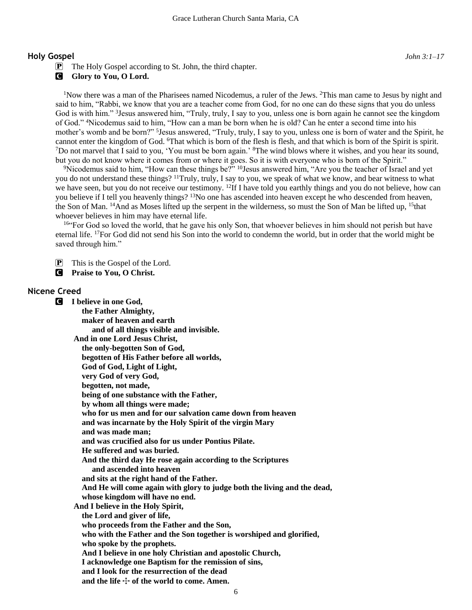#### **Holy Gospel** *John 3:1–17*

**G** Glory to You, O Lord.

<sup>1</sup>Now there was a man of the Pharisees named Nicodemus, a ruler of the Jews. <sup>2</sup>This man came to Jesus by night and said to him, "Rabbi, we know that you are a teacher come from God, for no one can do these signs that you do unless God is with him." <sup>3</sup> Jesus answered him, "Truly, truly, I say to you, unless one is born again he cannot see the kingdom of God." <sup>4</sup>Nicodemus said to him, "How can a man be born when he is old? Can he enter a second time into his mother's womb and be born?" <sup>5</sup> Jesus answered, "Truly, truly, I say to you, unless one is born of water and the Spirit, he cannot enter the kingdom of God. <sup>6</sup>That which is born of the flesh is flesh, and that which is born of the Spirit is spirit. <sup>7</sup>Do not marvel that I said to you, 'You must be born again.' <sup>8</sup>The wind blows where it wishes, and you hear its sound, but you do not know where it comes from or where it goes. So it is with everyone who is born of the Spirit."

<sup>9</sup>Nicodemus said to him, "How can these things be?" <sup>10</sup>Jesus answered him, "Are you the teacher of Israel and yet you do not understand these things? <sup>11</sup>Truly, truly, I say to you, we speak of what we know, and bear witness to what we have seen, but you do not receive our testimony. <sup>12</sup>If I have told you earthly things and you do not believe, how can you believe if I tell you heavenly things? <sup>13</sup>No one has ascended into heaven except he who descended from heaven, the Son of Man. <sup>14</sup>And as Moses lifted up the serpent in the wilderness, so must the Son of Man be lifted up, <sup>15</sup>that whoever believes in him may have eternal life.

<sup>16"</sup>For God so loved the world, that he gave his only Son, that whoever believes in him should not perish but have eternal life. <sup>17</sup>For God did not send his Son into the world to condemn the world, but in order that the world might be saved through him."

P This is the Gospel of the Lord.

C **Praise to You, O Christ.**

#### **Nicene Creed**

C **I believe in one God, the Father Almighty, maker of heaven and earth and of all things visible and invisible. And in one Lord Jesus Christ, the only-begotten Son of God, begotten of His Father before all worlds, God of God, Light of Light, very God of very God, begotten, not made, being of one substance with the Father, by whom all things were made; who for us men and for our salvation came down from heaven and was incarnate by the Holy Spirit of the virgin Mary and was made man; and was crucified also for us under Pontius Pilate. He suffered and was buried. And the third day He rose again according to the Scriptures and ascended into heaven and sits at the right hand of the Father. And He will come again with glory to judge both the living and the dead, whose kingdom will have no end. And I believe in the Holy Spirit, the Lord and giver of life, who proceeds from the Father and the Son, who with the Father and the Son together is worshiped and glorified, who spoke by the prophets. And I believe in one holy Christian and apostolic Church, I acknowledge one Baptism for the remission of sins, and I look for the resurrection of the dead** and the life  $+$  of the world to come. Amen.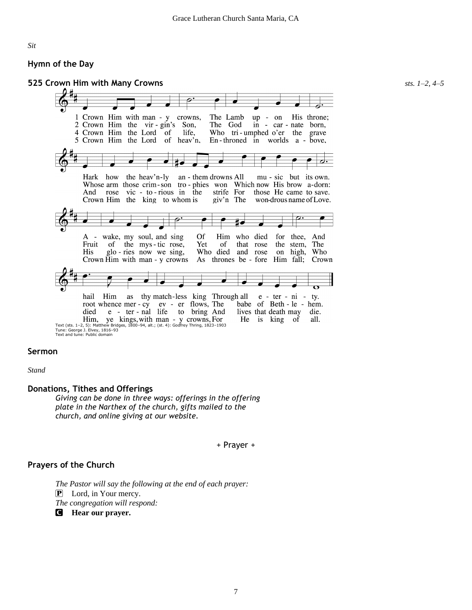#### *Sit*

#### **Hymn of the Day**

#### **525 Crown Him with Many Crowns** *sts. 1–2, 4–5*



#### **Sermon**

*Stand*

#### **Donations, Tithes and Offerings**

*Giving can be done in three ways: offerings in the offering plate in the Narthex of the church, gifts mailed to the church, and online giving at our website.*

+ Prayer +

#### **Prayers of the Church**

*The Pastor will say the following at the end of each prayer:* P Lord, in Your mercy. *The congregation will respond:*

C **Hear our prayer.**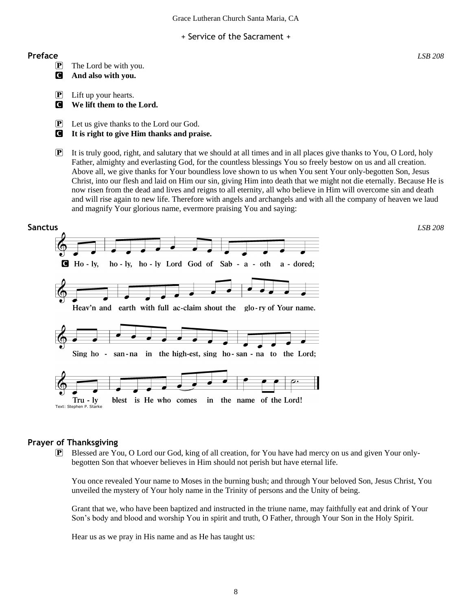Grace Lutheran Church Santa Maria, CA

+ Service of the Sacrament +

#### **Preface** *LSB 208*

- P The Lord be with you.
- C **And also with you.**
- $\mathbf{P}$  Lift up your hearts.
- C **We lift them to the Lord.**

P Let us give thanks to the Lord our God.

- C **It is right to give Him thanks and praise.**
- P It is truly good, right, and salutary that we should at all times and in all places give thanks to You, O Lord, holy Father, almighty and everlasting God, for the countless blessings You so freely bestow on us and all creation. Above all, we give thanks for Your boundless love shown to us when You sent Your only-begotten Son, Jesus Christ, into our flesh and laid on Him our sin, giving Him into death that we might not die eternally. Because He is now risen from the dead and lives and reigns to all eternity, all who believe in Him will overcome sin and death and will rise again to new life. Therefore with angels and archangels and with all the company of heaven we laud and magnify Your glorious name, evermore praising You and saying:



#### **Prayer of Thanksgiving**

P Blessed are You, O Lord our God, king of all creation, for You have had mercy on us and given Your onlybegotten Son that whoever believes in Him should not perish but have eternal life.

You once revealed Your name to Moses in the burning bush; and through Your beloved Son, Jesus Christ, You unveiled the mystery of Your holy name in the Trinity of persons and the Unity of being.

Grant that we, who have been baptized and instructed in the triune name, may faithfully eat and drink of Your Son's body and blood and worship You in spirit and truth, O Father, through Your Son in the Holy Spirit.

Hear us as we pray in His name and as He has taught us: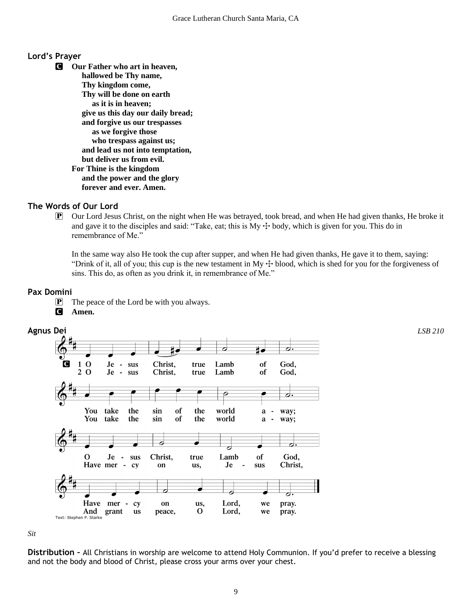#### **Lord's Prayer**

C **Our Father who art in heaven, hallowed be Thy name, Thy kingdom come, Thy will be done on earth as it is in heaven; give us this day our daily bread; and forgive us our trespasses as we forgive those who trespass against us; and lead us not into temptation, but deliver us from evil. For Thine is the kingdom and the power and the glory forever and ever. Amen.**

#### **The Words of Our Lord**

P Our Lord Jesus Christ, on the night when He was betrayed, took bread, and when He had given thanks, He broke it and gave it to the disciples and said: "Take, eat; this is  $My + body$ , which is given for you. This do in remembrance of Me."

In the same way also He took the cup after supper, and when He had given thanks, He gave it to them, saying: "Drink of it, all of you; this cup is the new testament in My  $+$  blood, which is shed for you for the forgiveness of sins. This do, as often as you drink it, in remembrance of Me."

#### **Pax Domini**

P The peace of the Lord be with you always.

C **Amen.**



*Sit*

**Distribution –** All Christians in worship are welcome to attend Holy Communion. If you'd prefer to receive a blessing and not the body and blood of Christ, please cross your arms over your chest.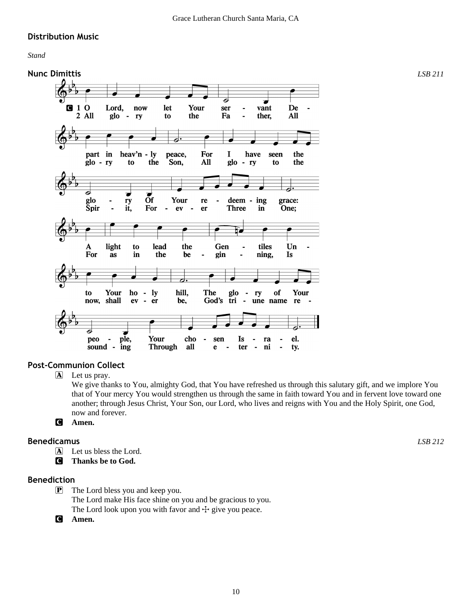#### **Distribution Music**

*Stand*



#### **Post-Communion Collect**

A Let us pray.

We give thanks to You, almighty God, that You have refreshed us through this salutary gift, and we implore You that of Your mercy You would strengthen us through the same in faith toward You and in fervent love toward one another; through Jesus Christ, Your Son, our Lord, who lives and reigns with You and the Holy Spirit, one God, now and forever.

C **Amen.**

#### **Benedicamus** *LSB 212*

A Let us bless the Lord.

C **Thanks be to God.**

#### **Benediction**

P The Lord bless you and keep you. The Lord make His face shine on you and be gracious to you. The Lord look upon you with favor and  $+$  give you peace.

C **Amen.**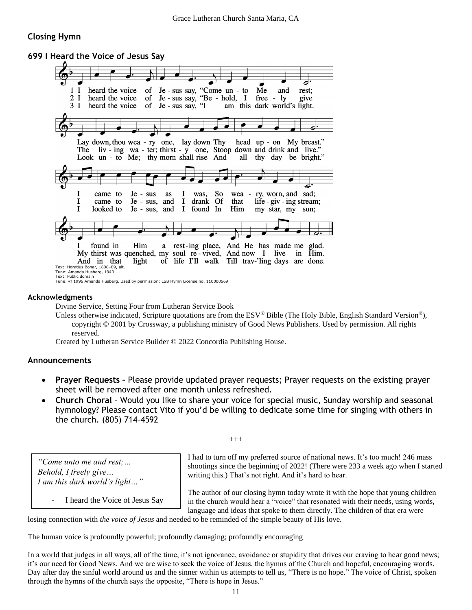### **Closing Hymn**

#### **699 I Heard the Voice of Jesus Say**



#### **Acknowledgments**

Divine Service, Setting Four from Lutheran Service Book

Unless otherwise indicated, Scripture quotations are from the ESV® Bible (The Holy Bible, English Standard Version®), copyright © 2001 by Crossway, a publishing ministry of Good News Publishers. Used by permission. All rights reserved.

Created by Lutheran Service Builder © 2022 Concordia Publishing House.

#### **Announcements**

- **Prayer Requests –** Please provide updated prayer requests; Prayer requests on the existing prayer sheet will be removed after one month unless refreshed.
- **Church Choral**  Would you like to share your voice for special music, Sunday worship and seasonal hymnology? Please contact Vito if you'd be willing to dedicate some time for singing with others in the church. (805) 714-4592

 $^{+++}$ 

*"Come unto me and rest;… Behold, I freely give… I am this dark world's light…"*

*-* I heard the Voice of Jesus Say

I had to turn off my preferred source of national news. It's too much! 246 mass shootings since the beginning of 2022! (There were 233 a week ago when I started writing this.) That's not right. And it's hard to hear.

The author of our closing hymn today wrote it with the hope that young children in the church would hear a "voice" that resonated with their needs, using words, language and ideas that spoke to them directly. The children of that era were

losing connection with *the voice of Jesus* and needed to be reminded of the simple beauty of His love.

The human voice is profoundly powerful; profoundly damaging; profoundly encouraging

In a world that judges in all ways, all of the time, it's not ignorance, avoidance or stupidity that drives our craving to hear good news; it's our need for Good News. And we are wise to seek the voice of Jesus, the hymns of the Church and hopeful, encouraging words. Day after day the sinful world around us and the sinner within us attempts to tell us, "There is no hope." The voice of Christ, spoken through the hymns of the church says the opposite, "There is hope in Jesus."